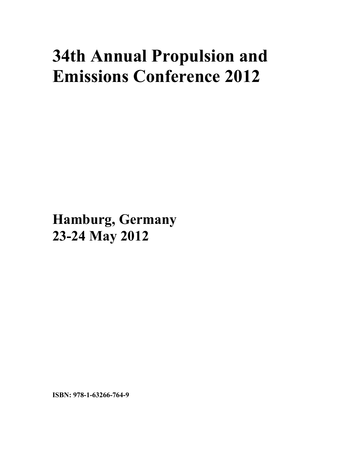# **34th Annual Propulsion and Emissions Conference 2012**

**Hamburg, Germany 23-24 May 2012**

**ISBN: 978-1-63266-764-9**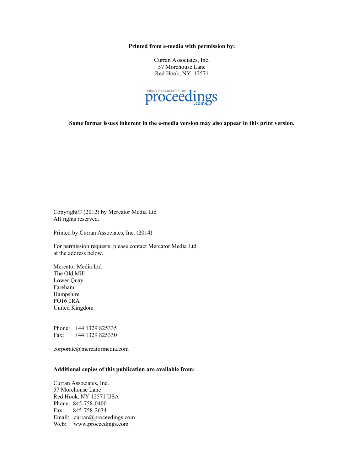**Printed from e-media with permission by:** 

Curran Associates, Inc. 57 Morehouse Lane Red Hook, NY 12571



**Some format issues inherent in the e-media version may also appear in this print version.** 

Copyright© (2012) by Mercator Media Ltd All rights reserved.

Printed by Curran Associates, Inc. (2014)

For permission requests, please contact Mercator Media Ltd at the address below.

Mercator Media Ltd The Old Mill Lower Quay Fareham Hampshire PO16 0RA United Kingdom

Phone: +44 1329 825335 Fax: +44 1329 825330

corporate@mercatormedia.com

#### **Additional copies of this publication are available from:**

Curran Associates, Inc. 57 Morehouse Lane Red Hook, NY 12571 USA Phone: 845-758-0400 Fax: 845-758-2634 Email: curran@proceedings.com Web: www.proceedings.com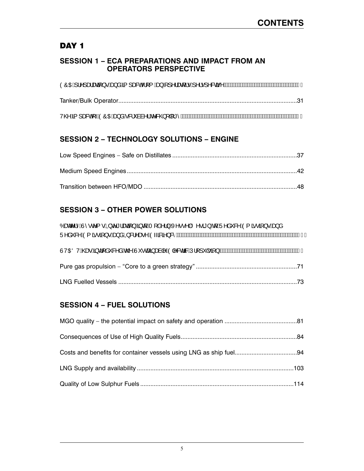## DAY<sub>1</sub>

#### **SESSION 1 – ECA PREPARATIONS AND IMPACT FROM AN OPERATORS PERSPECTIVE**

#### **SESSION 2 – TECHNOLOGY SOLUTIONS – ENGINE**

## **SESSION 3 – OTHER POWER SOLUTIONS**

| Óærc^¦^ÁÙ^•c^{•ÁQ\c^*¦ærā}Á§qÁT[å^¦}ÁX^••^ ÁÖ^•ā'}ÁqÁÜ^å <sup>×</sup> &^ÁÒ{ā•ā}•Áæ}å<br>Ü^å~&^ <i>i</i> Q{ $\tilde{a} \cdot \tilde{a}$ } · http://animeter/animeter/animeter/animeter/animeter/animeter/animeter/animeter/animeter/animeter/animeter/animeter/animeter/animeter/animeter/animeter/animeter/animeter/animeter/animeter/ani |
|-------------------------------------------------------------------------------------------------------------------------------------------------------------------------------------------------------------------------------------------------------------------------------------------------------------------------------------------|
|                                                                                                                                                                                                                                                                                                                                           |
|                                                                                                                                                                                                                                                                                                                                           |
|                                                                                                                                                                                                                                                                                                                                           |

## **SESSION 4 – FUEL SOLUTIONS**